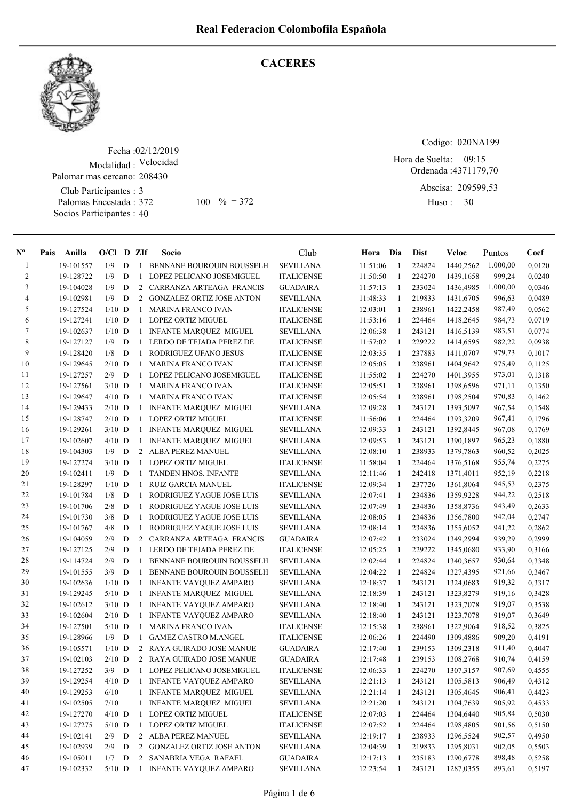**CACERES** 



## Fecha : 02/12/2019 Modalidad : Velocidad Club Participantes : 3 Palomar mas cercano: 208430

Palomas Encestada : Socios Participantes : 40

 $100 \, \textdegree\% = 372$  Huso: 30

Codigo: 020NA199

Ordenada : 4371179,70 Abscisa: 209599,53 Hora de Suelta: 09:15

Huso: 30

| $N^{\circ}$    | Pais | Anilla                 | $O/Cl$ D ZIf |   |                | Socio                                                          | Club              | Hora                 | Dia          | <b>Dist</b> | Veloc                  | Puntos   | Coef   |
|----------------|------|------------------------|--------------|---|----------------|----------------------------------------------------------------|-------------------|----------------------|--------------|-------------|------------------------|----------|--------|
| 1              |      | 19-101557              | 1/9          | D |                | 1 BENNANE BOUROUIN BOUSSELH                                    | <b>SEVILLANA</b>  | 11:51:06             | -1           | 224824      | 1440,2562              | 1.000,00 | 0,0120 |
| $\overline{c}$ |      | 19-128722              | 1/9          | D | $\mathbf{1}$   | LOPEZ PELICANO JOSEMIGUEL                                      | <b>ITALICENSE</b> | 11:50:50             | 1            | 224270      | 1439,1658              | 999,24   | 0,0240 |
| 3              |      | 19-104028              | 1/9          | D | $\overline{2}$ | CARRANZA ARTEAGA FRANCIS                                       | <b>GUADAIRA</b>   | 11:57:13             | -1           | 233024      | 1436,4985              | 1.000,00 | 0,0346 |
| $\overline{4}$ |      | 19-102981              | 1/9          | D | $\overline{2}$ | <b>GONZALEZ ORTIZ JOSE ANTON</b>                               | <b>SEVILLANA</b>  | 11:48:33             | -1           | 219833      | 1431,6705              | 996,63   | 0,0489 |
| 5              |      | 19-127524              | $1/10$ D     |   | $\mathbf{1}$   | <b>MARINA FRANCO IVAN</b>                                      | <b>ITALICENSE</b> | 12:03:01             | 1            | 238961      | 1422,2458              | 987,49   | 0,0562 |
| 6              |      | 19-127241              | $1/10$ D     |   | $\mathbf{1}$   | LOPEZ ORTIZ MIGUEL                                             | <b>ITALICENSE</b> | 11:53:16             | -1           | 224464      | 1418,2645              | 984,73   | 0,0719 |
| $\tau$         |      | 19-102637              | $1/10$ D     |   | 1              | <b>INFANTE MARQUEZ MIGUEL</b>                                  | <b>SEVILLANA</b>  | 12:06:38             | 1            | 243121      | 1416,5139              | 983,51   | 0,0774 |
| $\,8\,$        |      | 19-127127              | 1/9          | D | 1              | LERDO DE TEJADA PEREZ DE                                       | <b>ITALICENSE</b> | 11:57:02             | 1            | 229222      | 1414,6595              | 982,22   | 0,0938 |
| 9              |      | 19-128420              | 1/8          | D | 1              | RODRIGUEZ UFANO JESUS                                          | <b>ITALICENSE</b> | 12:03:35             | 1            | 237883      | 1411,0707              | 979,73   | 0,1017 |
| 10             |      | 19-129645              | $2/10$ D     |   | 1              | <b>MARINA FRANCO IVAN</b>                                      | <b>ITALICENSE</b> | 12:05:05             | 1            | 238961      | 1404,9642              | 975,49   | 0,1125 |
| 11             |      | 19-127257              | 2/9          | D | $\mathbf{1}$   | LOPEZ PELICANO JOSEMIGUEL                                      | <b>ITALICENSE</b> | 11:55:02             | 1            | 224270      | 1401,3955              | 973,01   | 0,1318 |
| 12             |      | 19-127561              | $3/10$ D     |   |                | 1 MARINA FRANCO IVAN                                           | <b>ITALICENSE</b> | 12:05:51             | 1            | 238961      | 1398,6596              | 971,11   | 0,1350 |
| 13             |      | 19-129647              | $4/10$ D     |   |                | 1 MARINA FRANCO IVAN                                           | <b>ITALICENSE</b> | 12:05:54             | 1            | 238961      | 1398,2504              | 970,83   | 0,1462 |
| 14             |      | 19-129433              | $2/10$ D     |   |                | 1 INFANTE MARQUEZ MIGUEL                                       | <b>SEVILLANA</b>  | 12:09:28             | 1            | 243121      | 1393,5097              | 967,54   | 0,1548 |
| 15             |      | 19-128747              | $2/10$ D     |   |                | 1 LOPEZ ORTIZ MIGUEL                                           | <b>ITALICENSE</b> | 11:56:06             | -1           | 224464      | 1393,3209              | 967,41   | 0,1796 |
| 16             |      | 19-129261              | $3/10$ D     |   | 1              | <b>INFANTE MARQUEZ MIGUEL</b>                                  | <b>SEVILLANA</b>  | 12:09:33             | -1           | 243121      | 1392,8445              | 967,08   | 0,1769 |
| 17             |      | 19-102607              | $4/10$ D     |   | 1              | <b>INFANTE MARQUEZ MIGUEL</b>                                  | <b>SEVILLANA</b>  | 12:09:53             | -1           | 243121      | 1390,1897              | 965,23   | 0,1880 |
| 18             |      | 19-104303              | 1/9          | D |                | 2 ALBA PEREZ MANUEL                                            | <b>SEVILLANA</b>  | 12:08:10             | -1           | 238933      | 1379,7863              | 960,52   | 0,2025 |
| 19             |      | 19-127274              | $3/10$ D     |   | $\mathbf{1}$   | <b>LOPEZ ORTIZ MIGUEL</b>                                      | <b>ITALICENSE</b> | 11:58:04             | 1            | 224464      | 1376,5168              | 955,74   | 0,2275 |
| 20             |      | 19-102411              | 1/9          | D | 1              | <b>TANDEN HNOS. INFANTE</b>                                    | <b>SEVILLANA</b>  | 12:11:46             | -1           | 242418      | 1371,4011              | 952,19   | 0,2218 |
| 21             |      | 19-128297              | $1/10$ D     |   | 1              | <b>RUIZ GARCIA MANUEL</b>                                      | <b>ITALICENSE</b> | 12:09:34             | 1            | 237726      | 1361,8064              | 945,53   | 0,2375 |
| 22             |      | 19-101784              | 1/8          | D | 1              | RODRIGUEZ YAGUE JOSE LUIS                                      | <b>SEVILLANA</b>  | 12:07:41             | 1            | 234836      | 1359,9228              | 944,22   | 0,2518 |
| 23             |      | 19-101706              | 2/8          | D | 1              | RODRIGUEZ YAGUE JOSE LUIS                                      | <b>SEVILLANA</b>  | 12:07:49             | 1            | 234836      | 1358,8736              | 943,49   | 0,2633 |
| 24             |      | 19-101730              | 3/8          | D | 1              | RODRIGUEZ YAGUE JOSE LUIS                                      | <b>SEVILLANA</b>  | 12:08:05             | 1            | 234836      | 1356,7800              | 942,04   | 0,2747 |
| 25             |      | 19-101767              | 4/8          | D | 1              | RODRIGUEZ YAGUE JOSE LUIS                                      | <b>SEVILLANA</b>  | 12:08:14             | 1            | 234836      | 1355,6052              | 941,22   | 0,2862 |
| 26             |      | 19-104059              | 2/9          | D |                | 2 CARRANZA ARTEAGA FRANCIS                                     | <b>GUADAIRA</b>   | 12:07:42             | 1            | 233024      | 1349,2994              | 939,29   | 0,2999 |
| 27             |      | 19-127125              | 2/9          | D | $\mathbf{1}$   | LERDO DE TEJADA PEREZ DE                                       | <b>ITALICENSE</b> | 12:05:25             | -1           | 229222      | 1345,0680              | 933,90   | 0,3166 |
| 28             |      | 19-114724              | 2/9          | D | $\mathbf{1}$   | BENNANE BOUROUIN BOUSSELH                                      | <b>SEVILLANA</b>  | 12:02:44             | -1           | 224824      | 1340, 3657             | 930,64   | 0,3348 |
| 29             |      | 19-101555              | 3/9          | D | $\mathbf{1}$   | BENNANE BOUROUIN BOUSSELH                                      | <b>SEVILLANA</b>  | 12:04:22             | 1            | 224824      | 1327,4395              | 921,66   | 0,3467 |
| $30\,$         |      |                        | $1/10$ D     |   | 1              |                                                                | <b>SEVILLANA</b>  |                      | -1           | 243121      |                        | 919,32   | 0,3317 |
| 31             |      | 19-102636<br>19-129245 | $5/10$ D     |   | -1             | <b>INFANTE VAYQUEZ AMPARO</b><br><b>INFANTE MARQUEZ MIGUEL</b> | <b>SEVILLANA</b>  | 12:18:37<br>12:18:39 | 1            | 243121      | 1324,0683<br>1323,8279 | 919,16   | 0,3428 |
| 32             |      |                        | $3/10$ D     |   | -1             |                                                                |                   |                      |              | 243121      |                        | 919,07   | 0,3538 |
| 33             |      | 19-102612              |              |   |                | <b>INFANTE VAYQUEZ AMPARO</b>                                  | <b>SEVILLANA</b>  | 12:18:40             | -1           | 243121      | 1323,7078              |          |        |
|                |      | 19-102604              | $2/10$ D     |   | 1              | <b>INFANTE VAYOUEZ AMPARO</b>                                  | <b>SEVILLANA</b>  | 12:18:40             | 1            |             | 1323,7078              | 919,07   | 0,3649 |
| 34             |      | 19-127501              | $5/10$ D     |   | 1              | <b>MARINA FRANCO IVAN</b>                                      | <b>ITALICENSE</b> | 12:15:38             | 1            | 238961      | 1322,9064              | 918,52   | 0,3825 |
| 35             |      | 19-128966              | 1/9          | D | 1              | <b>GAMEZ CASTRO M.ANGEL</b>                                    | <b>ITALICENSE</b> | 12:06:26             | 1            | 224490      | 1309,4886              | 909,20   | 0,4191 |
| 36             |      | 19-105571              | $1/10$ D     |   |                | 2 RAYA GUIRADO JOSE MANUE                                      | <b>GUADAIRA</b>   | 12:17:40             | 1            | 239153      | 1309,2318              | 911,40   | 0,4047 |
| 37             |      | 19-102103              | $2/10$ D     |   |                | 2 RAYA GUIRADO JOSE MANUE                                      | <b>GUADAIRA</b>   | 12:17:48             | 1            | 239153      | 1308,2768              | 910,74   | 0,4159 |
| 38             |      | 19-127252              | $3/9$ D      |   |                | 1 LOPEZ PELICANO JOSEMIGUEL                                    | <b>ITALICENSE</b> | 12:06:33             | $\mathbf{1}$ | 224270      | 1307,3157              | 907,69   | 0,4555 |
| 39             |      | 19-129254              | $4/10$ D     |   |                | 1 INFANTE VAYQUEZ AMPARO                                       | <b>SEVILLANA</b>  | 12:21:13             | 1            | 243121      | 1305,5813              | 906,49   | 0,4312 |
| 40             |      | 19-129253              | 6/10         |   |                | 1 INFANTE MARQUEZ MIGUEL                                       | <b>SEVILLANA</b>  | 12:21:14             | 1            | 243121      | 1305,4645              | 906,41   | 0,4423 |
| 41             |      | 19-102505              | 7/10         |   |                | 1 INFANTE MARQUEZ MIGUEL                                       | <b>SEVILLANA</b>  | 12:21:20             | -1           | 243121      | 1304,7639              | 905,92   | 0,4533 |
| 42             |      | 19-127270              | $4/10$ D     |   |                | 1 LOPEZ ORTIZ MIGUEL                                           | <b>ITALICENSE</b> | 12:07:03             | -1           | 224464      | 1304,6440              | 905,84   | 0,5030 |
| 43             |      | 19-127275              | $5/10$ D     |   |                | 1 LOPEZ ORTIZ MIGUEL                                           | <b>ITALICENSE</b> | 12:07:52             | -1           | 224464      | 1298,4805              | 901,56   | 0,5150 |
| 44             |      | 19-102141              | $2/9$ D      |   |                | 2 ALBA PEREZ MANUEL                                            | <b>SEVILLANA</b>  | 12:19:17             | -1           | 238933      | 1296,5524              | 902,57   | 0,4950 |
| 45             |      | 19-102939              | 2/9          | D |                | 2 GONZALEZ ORTIZ JOSE ANTON                                    | <b>SEVILLANA</b>  | 12:04:39             | $\mathbf{1}$ | 219833      | 1295,8031              | 902,05   | 0,5503 |
| 46             |      | 19-105011              | 1/7          | D |                | 2 SANABRIA VEGA RAFAEL                                         | <b>GUADAIRA</b>   | 12:17:13             | 1            | 235183      | 1290,6778              | 898,48   | 0,5258 |
| 47             |      | 19-102332              | $5/10$ D     |   | $\mathbf{1}$   | INFANTE VAYQUEZ AMPARO                                         | <b>SEVILLANA</b>  | 12:23:54             | $\mathbf{1}$ | 243121      | 1287,0355              | 893,61   | 0,5197 |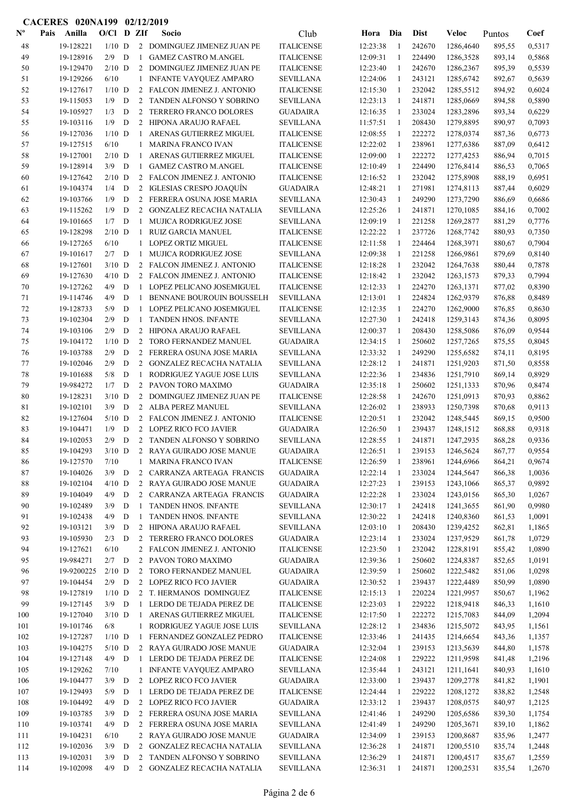|                           | CACERES 020NA199 02/12/2019 |                        |                 |             |                   |                                                             |                                     |                      |              |                  |                        |                  |                  |
|---------------------------|-----------------------------|------------------------|-----------------|-------------|-------------------|-------------------------------------------------------------|-------------------------------------|----------------------|--------------|------------------|------------------------|------------------|------------------|
| $\mathbf{N}^{\mathbf{o}}$ | Pais                        | Anilla                 | $O/Cl$ D ZIf    |             |                   | Socio                                                       | Club                                | Hora                 | Dia          | <b>Dist</b>      | Veloc                  | Puntos           | Coef             |
| 48                        |                             | 19-128221              | $1/10$ D        |             |                   | 2 DOMINGUEZ JIMENEZ JUAN PE                                 | <b>ITALICENSE</b>                   | 12:23:38             | -1           | 242670           | 1286,4640              | 895,55           | 0,5317           |
| 49                        |                             | 19-128916              | $2/9$ D         |             | $\mathbf{1}$      | <b>GAMEZ CASTRO M.ANGEL</b>                                 | <b>ITALICENSE</b>                   | 12:09:31             | -1           | 224490           | 1286,3528              | 893,14           | 0,5868           |
| 50                        |                             | 19-129470              | $2/10$ D        |             | 2                 | DOMINGUEZ JIMENEZ JUAN PE                                   | <b>ITALICENSE</b>                   | 12:23:40             | -1           | 242670           | 1286,2367              | 895,39           | 0,5539           |
| 51                        |                             | 19-129266              | 6/10            |             | $\mathbf{1}$      | <b>INFANTE VAYQUEZ AMPARO</b>                               | <b>SEVILLANA</b>                    | 12:24:06             | -1           | 243121           | 1285,6742              | 892,67           | 0,5639           |
| 52                        |                             | 19-127617              | $1/10$ D        |             |                   | 2 FALCON JIMENEZ J. ANTONIO                                 | <b>ITALICENSE</b>                   | 12:15:30             | -1           | 232042           | 1285,5512              | 894,92           | 0,6024           |
| 53                        |                             | 19-115053              | 1/9             | D           |                   | 2 TANDEN ALFONSO Y SOBRINO                                  | <b>SEVILLANA</b>                    | 12:23:13             | -1           | 241871           | 1285,0669              | 894,58           | 0,5890           |
| 54                        |                             | 19-105927              | 1/3             | D           | 2                 | <b>TERRERO FRANCO DOLORES</b>                               | <b>GUADAIRA</b>                     | 12:16:35             | -1           | 233024           | 1283,2896              | 893,34           | 0,6229           |
| 55                        |                             | 19-103116              | 1/9             | D           | 2                 | <b>HIPONA ARAUJO RAFAEL</b>                                 | <b>SEVILLANA</b>                    | 11:57:51             | 1            | 208430           | 1279,8895              | 890,97           | 0,7093           |
| 56                        |                             | 19-127036              | $1/10$ D        |             | 1                 | ARENAS GUTIERREZ MIGUEL                                     | <b>ITALICENSE</b>                   | 12:08:55             | 1            | 222272           | 1278,0374              | 887,36           | 0,6773           |
| 57                        |                             | 19-127515              | 6/10            |             | 1                 | <b>MARINA FRANCO IVAN</b>                                   | <b>ITALICENSE</b>                   | 12:22:02             | 1            | 238961           | 1277,6386              | 887,09           | 0,6412           |
| 58                        |                             | 19-127001              | $2/10$ D        |             | 1                 | ARENAS GUTIERREZ MIGUEL                                     | <b>ITALICENSE</b>                   | 12:09:00             | 1            | 222272           | 1277,4253              | 886,94           | 0,7015           |
| 59                        |                             | 19-128914              | 3/9             | D           | $\mathbf{1}$<br>2 | <b>GAMEZ CASTRO M.ANGEL</b>                                 | <b>ITALICENSE</b>                   | 12:10:49             | 1<br>1       | 224490           | 1276,8414              | 886,53           | 0,7065           |
| 60                        |                             | 19-127642<br>19-104374 | $2/10$ D<br>1/4 | D           | 2                 | FALCON JIMENEZ J. ANTONIO<br><b>IGLESIAS CRESPO JOAQUÍN</b> | <b>ITALICENSE</b><br>GUADAIRA       | 12:16:52<br>12:48:21 | $\mathbf{1}$ | 232042<br>271981 | 1275,8908<br>1274,8113 | 888,19<br>887,44 | 0,6951<br>0,6029 |
| 61<br>62                  |                             | 19-103766              | 1/9             | D           | $\overline{2}$    | FERRERA OSUNA JOSE MARIA                                    | <b>SEVILLANA</b>                    | 12:30:43             | 1            | 249290           | 1273,7290              | 886,69           | 0,6686           |
| 63                        |                             | 19-115262              | 1/9             | D           | $\overline{2}$    | GONZALEZ RECACHA NATALIA                                    | <b>SEVILLANA</b>                    | 12:25:26             | -1           | 241871           | 1270,1085              | 884,16           | 0,7002           |
| 64                        |                             | 19-101665              | 1/7             | D           | 1                 | <b>MUJICA RODRIGUEZ JOSE</b>                                | SEVILLANA                           | 12:09:19             | -1           | 221258           | 1269,2877              | 881,29           | 0,7776           |
| 65                        |                             | 19-128298              | $2/10$ D        |             | $\mathbf{1}$      | <b>RUIZ GARCIA MANUEL</b>                                   | <b>ITALICENSE</b>                   | 12:22:22             | -1           | 237726           | 1268,7742              | 880,93           | 0,7350           |
| 66                        |                             | 19-127265              | 6/10            |             | $\mathbf{1}$      | <b>LOPEZ ORTIZ MIGUEL</b>                                   | <b>ITALICENSE</b>                   | 12:11:58             | -1           | 224464           | 1268,3971              | 880,67           | 0,7904           |
| 67                        |                             | 19-101617              | $2/7$ D         |             | 1                 | <b>MUJICA RODRIGUEZ JOSE</b>                                | <b>SEVILLANA</b>                    | 12:09:38             | 1            | 221258           | 1266,9861              | 879,69           | 0,8140           |
| 68                        |                             | 19-127601              | $3/10$ D        |             |                   | 2 FALCON JIMENEZ J. ANTONIO                                 | <b>ITALICENSE</b>                   | 12:18:28             | 1            | 232042           | 1264,7638              | 880,44           | 0,7878           |
| 69                        |                             | 19-127630              | $4/10$ D        |             |                   | 2 FALCON JIMENEZ J. ANTONIO                                 | <b>ITALICENSE</b>                   | 12:18:42             | 1            | 232042           | 1263,1573              | 879,33           | 0,7994           |
| 70                        |                             | 19-127262              | 4/9             | D           | $\mathbf{1}$      | LOPEZ PELICANO JOSEMIGUEL                                   | <b>ITALICENSE</b>                   | 12:12:33             | 1            | 224270           | 1263,1371              | 877,02           | 0,8390           |
| 71                        |                             | 19-114746              | 4/9             | D           | $\mathbf{1}$      | BENNANE BOUROUIN BOUSSELH                                   | <b>SEVILLANA</b>                    | 12:13:01             | 1            | 224824           | 1262,9379              | 876,88           | 0,8489           |
| 72                        |                             | 19-128733              | 5/9             | D           | $\mathbf{1}$      | LOPEZ PELICANO JOSEMIGUEL                                   | <b>ITALICENSE</b>                   | 12:12:35             | 1            | 224270           | 1262,9000              | 876,85           | 0,8630           |
| 73                        |                             | 19-102304              | 2/9             | D           | $\mathbf{1}$      | <b>TANDEN HNOS. INFANTE</b>                                 | SEVILLANA                           | 12:27:30             | 1            | 242418           | 1259,3143              | 874,36           | 0,8095           |
| 74                        |                             | 19-103106              | 2/9             | D           | 2                 | HIPONA ARAUJO RAFAEL                                        | <b>SEVILLANA</b>                    | 12:00:37             | -1           | 208430           | 1258,5086              | 876,09           | 0,9544           |
| 75                        |                             | 19-104172              | $1/10$ D        |             | 2                 | TORO FERNANDEZ MANUEL                                       | <b>GUADAIRA</b>                     | 12:34:15             | -1           | 250602           | 1257,7265              | 875,55           | 0,8045           |
| 76                        |                             | 19-103788              | 2/9             | D           | $\overline{2}$    | FERRERA OSUNA JOSE MARIA                                    | <b>SEVILLANA</b>                    | 12:33:32             | -1           | 249290           | 1255,6582              | 874,11           | 0,8195           |
| 77                        |                             | 19-102046              | 2/9             | D           | $\overline{2}$    | <b>GONZALEZ RECACHA NATALIA</b>                             | <b>SEVILLANA</b>                    | 12:28:12             | $\mathbf{1}$ | 241871           | 1251,9203              | 871,50           | 0,8558           |
| 78                        |                             | 19-101688              | 5/8             | D           | 1                 | RODRIGUEZ YAGUE JOSE LUIS                                   | <b>SEVILLANA</b>                    | 12:22:36             | 1            | 234836           | 1251,7910              | 869,14           | 0,8929           |
| 79                        |                             | 19-984272              | 1/7             | D           | 2                 | PAVON TORO MAXIMO                                           | <b>GUADAIRA</b>                     | 12:35:18             | -1           | 250602           | 1251,1333              | 870,96           | 0,8474           |
| 80                        |                             | 19-128231              | $3/10$ D        |             | 2                 | <b>DOMINGUEZ JIMENEZ JUAN PE</b>                            | <b>ITALICENSE</b>                   | 12:28:58             | 1            | 242670           | 1251,0913              | 870,93           | 0,8862           |
| 81                        |                             | 19-102101              | 3/9             | $\mathbf D$ |                   | 2 ALBA PEREZ MANUEL                                         | <b>SEVILLANA</b>                    | 12:26:02             | 1            | 238933           | 1250,7398              | 870,68           | 0,9113           |
| 82                        |                             | 19-127604              | $5/10$ D        |             |                   | 2 FALCON JIMENEZ J. ANTONIO                                 | <b>ITALICENSE</b>                   | 12:20:51             | 1            | 232042           | 1248,5445              | 869,15           | 0,9500           |
| 83                        |                             | 19-104471              | 1/9             | D           |                   | 2 LOPEZ RICO FCO JAVIER                                     | <b>GUADAIRA</b>                     | 12:26:50             | 1            | 239437           | 1248,1512              | 868,88           | 0,9318           |
| 84                        |                             | 19-102053              | 2/9             | D           | 2                 | TANDEN ALFONSO Y SOBRINO                                    | <b>SEVILLANA</b>                    | 12:28:55             | -1           | 241871           | 1247,2935              | 868,28           | 0,9336           |
| 85                        |                             | 19-104293              | $3/10$ D        |             |                   | 2 RAYA GUIRADO JOSE MANUE                                   | <b>GUADAIRA</b>                     | 12:26:51             | 1            | 239153           | 1246,5624              | 867,77           | 0,9554           |
| 86                        |                             | 19-127570              | 7/10            |             | $\mathbf{1}$      | <b>MARINA FRANCO IVAN</b>                                   | <b>ITALICENSE</b>                   | 12:26:59             | 1            | 238961           | 1244,6966              | 864,21           | 0,9674           |
| 87                        |                             | 19-104026              | $3/9$ D         |             |                   | 2 CARRANZA ARTEAGA FRANCIS                                  | <b>GUADAIRA</b>                     | 12:22:14             | -1           | 233024           | 1244,5647              | 866,38           | 1,0036           |
| 88                        |                             | 19-102104              | $4/10$ D        |             |                   | 2 RAYA GUIRADO JOSE MANUE<br>2 CARRANZA ARTEAGA FRANCIS     | <b>GUADAIRA</b>                     | 12:27:23             | -1           | 239153           | 1243,1066              | 865,37           | 0,9892           |
| 89<br>90                  |                             | 19-104049<br>19-102489 | $4/9$ D<br>3/9  | D           | $\mathbf{1}$      | TANDEN HNOS. INFANTE                                        | <b>GUADAIRA</b><br><b>SEVILLANA</b> | 12:22:28<br>12:30:17 | -1           | 233024<br>242418 | 1243,0156<br>1241,3655 | 865,30<br>861,90 | 1,0267<br>0,9980 |
| 91                        |                             | 19-102438              | 4/9             | ${\bf D}$   | 1                 | <b>TANDEN HNOS. INFANTE</b>                                 | <b>SEVILLANA</b>                    | 12:30:22             | 1<br>1       | 242418           | 1240,8360              | 861,53           | 1,0091           |
| 92                        |                             | 19-103121              | 3/9             | ${\bf D}$   | $\overline{2}$    | HIPONA ARAUJO RAFAEL                                        | <b>SEVILLANA</b>                    | 12:03:10             | 1            | 208430           | 1239,4252              | 862,81           | 1,1865           |
| 93                        |                             | 19-105930              | 2/3             | $\mathbf D$ | $\overline{2}$    | <b>TERRERO FRANCO DOLORES</b>                               | <b>GUADAIRA</b>                     | 12:23:14             | $\mathbf{1}$ | 233024           | 1237,9529              | 861,78           | 1,0729           |
| 94                        |                             | 19-127621              | 6/10            |             |                   | 2 FALCON JIMENEZ J. ANTONIO                                 | <b>ITALICENSE</b>                   | 12:23:50             | -1           | 232042           | 1228,8191              | 855,42           | 1,0890           |
| 95                        |                             | 19-984271              | $2/7$ D         |             |                   | 2 PAVON TORO MAXIMO                                         | <b>GUADAIRA</b>                     | 12:39:36             | -1           | 250602           | 1224,8387              | 852,65           | 1,0191           |
| 96                        |                             | 19-9200225             | $2/10$ D        |             |                   | 2 TORO FERNANDEZ MANUEL                                     | GUADAIRA                            | 12:39:59             | 1            | 250602           | 1222,5482              | 851,06           | 1,0298           |
| 97                        |                             | 19-104454              | $2/9$ D         |             | $\overline{2}$    | LOPEZ RICO FCO JAVIER                                       | <b>GUADAIRA</b>                     | 12:30:52             | 1            | 239437           | 1222,4489              | 850,99           | 1,0890           |
| 98                        |                             | 19-127819              | $1/10$ D        |             | $\overline{2}$    | T. HERMANOS DOMINGUEZ                                       | <b>ITALICENSE</b>                   | 12:15:13             | 1            | 220224           | 1221,9957              | 850,67           | 1,1962           |
| 99                        |                             | 19-127145              | $3/9$ D         |             | $\mathbf{1}$      | LERDO DE TEJADA PEREZ DE                                    | <b>ITALICENSE</b>                   | 12:23:03             | 1            | 229222           | 1218,9418              | 846,33           | 1,1610           |
| 100                       |                             | 19-127040              | $3/10$ D        |             | $\mathbf{1}$      | ARENAS GUTIERREZ MIGUEL                                     | <b>ITALICENSE</b>                   | 12:17:50             | -1           | 222272           | 1215,7083              | 844,09           | 1,2094           |
| 101                       |                             | 19-101746              | 6/8             |             | $\mathbf{1}$      | RODRIGUEZ YAGUE JOSE LUIS                                   | SEVILLANA                           | 12:28:12             | -1           | 234836           | 1215,5072              | 843,95           | 1,1561           |
| 102                       |                             | 19-127287              | $1/10$ D        |             | $\mathbf{1}$      | FERNANDEZ GONZALEZ PEDRO                                    | <b>ITALICENSE</b>                   | 12:33:46             | -1           | 241435           | 1214,6654              | 843,36           | 1,1357           |
| 103                       |                             | 19-104275              | $5/10$ D        |             | 2                 | RAYA GUIRADO JOSE MANUE                                     | <b>GUADAIRA</b>                     | 12:32:04             | 1            | 239153           | 1213,5639              | 844,80           | 1,1578           |
| 104                       |                             | 19-127148              | $4/9$ D         |             | 1                 | LERDO DE TEJADA PEREZ DE                                    | <b>ITALICENSE</b>                   | 12:24:08             | 1            | 229222           | 1211,9598              | 841,48           | 1,2196           |
| 105                       |                             | 19-129262              | 7/10            |             | $\mathbf{1}$      | INFANTE VAYQUEZ AMPARO                                      | <b>SEVILLANA</b>                    | 12:35:44             | 1            | 243121           | 1211,1641              | 840,93           | 1,1610           |
| 106                       |                             | 19-104477              | $3/9$ D         |             |                   | 2 LOPEZ RICO FCO JAVIER                                     | GUADAIRA                            | 12:33:00             | 1            | 239437           | 1209,2778              | 841,82           | 1,1901           |
| 107                       |                             | 19-129493              | 5/9             | D           | $\mathbf{1}$      | LERDO DE TEJADA PEREZ DE                                    | <b>ITALICENSE</b>                   | 12:24:44             | 1            | 229222           | 1208,1272              | 838,82           | 1,2548           |
| 108                       |                             | 19-104492              | 4/9             | ${\bf D}$   |                   | 2 LOPEZ RICO FCO JAVIER                                     | GUADAIRA                            | 12:33:12             | 1            | 239437           | 1208,0575              | 840,97           | 1,2125           |
| 109                       |                             | 19-103785              | 3/9             | ${\bf D}$   | $\overline{2}$    | FERRERA OSUNA JOSE MARIA                                    | <b>SEVILLANA</b>                    | 12:41:46             | 1            | 249290           | 1205,6586              | 839,30           | 1,1754           |
| 110                       |                             | 19-103741              | 4/9             | D           | $\overline{2}$    | FERRERA OSUNA JOSE MARIA                                    | <b>SEVILLANA</b>                    | 12:41:49             | 1            | 249290           | 1205,3671              | 839,10           | 1,1862           |
| 111                       |                             | 19-104231              | 6/10            |             | $\overline{2}$    | RAYA GUIRADO JOSE MANUE                                     | <b>GUADAIRA</b>                     | 12:34:09             | 1            | 239153           | 1200,8687              | 835,96           | 1,2477           |
| 112                       |                             | 19-102036              | $3/9$ D         |             | 2                 | <b>GONZALEZ RECACHA NATALIA</b>                             | <b>SEVILLANA</b>                    | 12:36:28             | -1           | 241871           | 1200,5510              | 835,74           | 1,2448           |
| 113                       |                             | 19-102031              | 3/9             | D           | $\overline{2}$    | TANDEN ALFONSO Y SOBRINO                                    | <b>SEVILLANA</b>                    | 12:36:29             | 1            | 241871<br>241871 | 1200,4517              | 835,67           | 1,2559           |
| 114                       |                             | 19-102098              | $4/9$ D         |             |                   | 2 GONZALEZ RECACHA NATALIA                                  | <b>SEVILLANA</b>                    | 12:36:31             | 1            |                  | 1200,2531              | 835,54           | 1,2670           |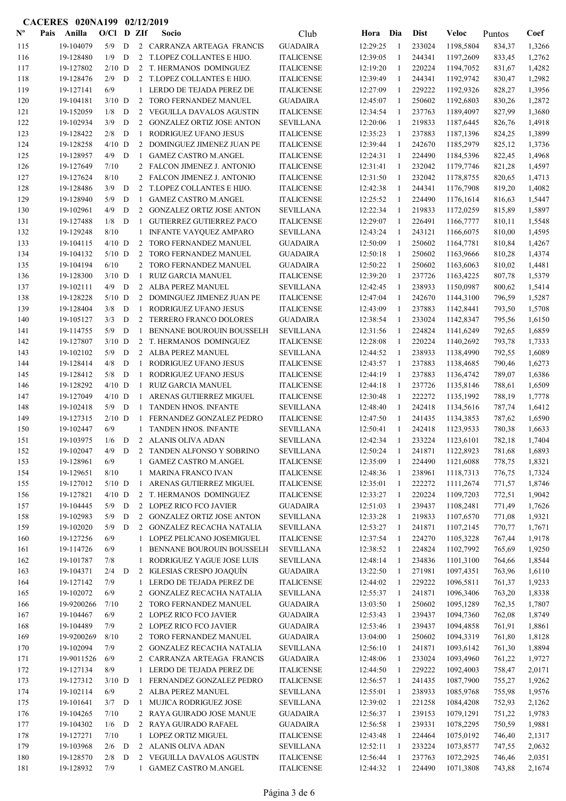|                | <b>CACERES 020NA199</b> |                        |              |        |                     | 02/12/2019                                                      |                                       |                      |              |                  |                        |                  |                  |
|----------------|-------------------------|------------------------|--------------|--------|---------------------|-----------------------------------------------------------------|---------------------------------------|----------------------|--------------|------------------|------------------------|------------------|------------------|
| $N^{\text{o}}$ | Pais                    | Anilla                 | $O/Cl$ D ZIf |        |                     | Socio                                                           | Club                                  | Hora                 | Dia          | <b>Dist</b>      | <b>Veloc</b>           | Puntos           | Coef             |
| 115            |                         | 19-104079              | 5/9          | D      |                     | 2 CARRANZA ARTEAGA FRANCIS                                      | <b>GUADAIRA</b>                       | 12:29:25             | -1           | 233024           | 1198,5804              | 834,37           | 1,3266           |
| 116            |                         | 19-128480              | 1/9          | D      |                     | 2 T.LOPEZ COLLANTES E HIJO.                                     | <b>ITALICENSE</b>                     | 12:39:05             | $\mathbf{1}$ | 244341           | 1197,2609              | 833,45           | 1,2762           |
| 117            |                         | 19-127802              | $2/10$ D     |        |                     | 2 T. HERMANOS DOMINGUEZ                                         | <b>ITALICENSE</b>                     | 12:19:20             | -1           | 220224           | 1194,7052              | 831,67           | 1,4282           |
| 118            |                         | 19-128476              | 2/9          | D      |                     | 2 T.LOPEZ COLLANTES E HIJO.                                     | <b>ITALICENSE</b>                     | 12:39:49             | -1           | 244341           | 1192,9742              | 830,47           | 1,2982           |
| 119            |                         | 19-127141              | 6/9          |        | 1                   | LERDO DE TEJADA PEREZ DE                                        | <b>ITALICENSE</b>                     | 12:27:09             | 1            | 229222           | 1192,9326              | 828,27           | 1,3956           |
| 120            |                         | 19-104181              | $3/10$ D     |        | 2                   | TORO FERNANDEZ MANUEL                                           | <b>GUADAIRA</b>                       | 12:45:07             | -1           | 250602           | 1192,6803              | 830,26           | 1,2872           |
| 121            |                         | 19-152059              | 1/8          | D      |                     | 2 VEGUILLA DAVALOS AGUSTIN                                      | <b>ITALICENSE</b>                     | 12:34:54             | -1           | 237763           | 1189,4097              | 827,99           | 1,3680           |
| 122            |                         | 19-102934              | 3/9          | D      |                     | 2 GONZALEZ ORTIZ JOSE ANTON                                     | <b>SEVILLANA</b>                      | 12:20:06             | -1           | 219833           | 1187,6445              | 826,76           | 1,4918           |
| 123            |                         | 19-128422              | 2/8          | D      | 1                   | RODRIGUEZ UFANO JESUS                                           | <b>ITALICENSE</b>                     | 12:35:23             | 1            | 237883           | 1187,1396              | 824,25           | 1,3899           |
| 124            |                         | 19-128258              | $4/10$ D     |        |                     | 2 DOMINGUEZ JIMENEZ JUAN PE                                     | <b>ITALICENSE</b>                     | 12:39:44             | 1            | 242670           | 1185,2979              | 825,12           | 1,3736           |
| 125            |                         | 19-128957              | $4/9$ D      |        | -1                  | <b>GAMEZ CASTRO M.ANGEL</b>                                     | <b>ITALICENSE</b>                     | 12:24:31             | 1            | 224490           | 1184,5396              | 822,45           | 1,4968           |
| 126            |                         | 19-127649              | 7/10         |        |                     | 2 FALCON JIMENEZ J. ANTONIO                                     | <b>ITALICENSE</b>                     | 12:31:41             | 1            | 232042           | 1179,7746              | 821,28           | 1,4597           |
| 127            |                         | 19-127624              | 8/10         |        |                     | 2 FALCON JIMENEZ J. ANTONIO                                     | <b>ITALICENSE</b>                     | 12:31:50             | 1            | 232042           | 1178,8755              | 820,65           | 1,4713           |
| 128            |                         | 19-128486              | 3/9          | D      | 2                   | T.LOPEZ COLLANTES E HIJO.                                       | <b>ITALICENSE</b>                     | 12:42:38             | $\mathbf{1}$ | 244341           | 1176,7908              | 819,20           | 1,4082           |
| 129            |                         | 19-128940<br>19-102961 | 5/9<br>4/9   | D<br>D | 1<br>$\overline{2}$ | <b>GAMEZ CASTRO M.ANGEL</b><br><b>GONZALEZ ORTIZ JOSE ANTON</b> | <b>ITALICENSE</b>                     | 12:25:52             | -1<br>1      | 224490<br>219833 | 1176,1614              | 816,63           | 1,5447           |
| 130<br>131     |                         | 19-127488              | 1/8          | D      | -1                  | <b>GUTIERREZ GUTIERREZ PACO</b>                                 | <b>SEVILLANA</b><br><b>ITALICENSE</b> | 12:22:34<br>12:29:07 | -1           | 226491           | 1172,0259<br>1166,7777 | 815,89<br>810,11 | 1,5897<br>1,5548 |
| 132            |                         | 19-129248              | 8/10         |        | 1                   | <b>INFANTE VAYQUEZ AMPARO</b>                                   | <b>SEVILLANA</b>                      | 12:43:24             | $\mathbf{1}$ | 243121           | 1166,6075              | 810,00           | 1,4595           |
| 133            |                         | 19-104115              | $4/10$ D     |        |                     | 2 TORO FERNANDEZ MANUEL                                         | <b>GUADAIRA</b>                       | 12:50:09             | 1            | 250602           | 1164,7781              | 810,84           | 1,4267           |
| 134            |                         | 19-104132              | $5/10$ D     |        |                     | 2 TORO FERNANDEZ MANUEL                                         | <b>GUADAIRA</b>                       | 12:50:18             | -1           | 250602           | 1163,9666              | 810,28           | 1,4374           |
| 135            |                         | 19-104194              | 6/10         |        |                     | 2 TORO FERNANDEZ MANUEL                                         | <b>GUADAIRA</b>                       | 12:50:22             | 1            | 250602           | 1163,6063              | 810,02           | 1,4481           |
| 136            |                         | 19-128300              | $3/10$ D     |        | -1                  | RUIZ GARCIA MANUEL                                              | <b>ITALICENSE</b>                     | 12:39:20             | -1           | 237726           | 1163,4225              | 807,78           | 1,5379           |
| 137            |                         | 19-102111              | $4/9$ D      |        |                     | 2 ALBA PEREZ MANUEL                                             | <b>SEVILLANA</b>                      | 12:42:45             | -1           | 238933           | 1150,0987              | 800,62           | 1,5414           |
| 138            |                         | 19-128228              | $5/10$ D     |        |                     | 2 DOMINGUEZ JIMENEZ JUAN PE                                     | <b>ITALICENSE</b>                     | 12:47:04             | 1            | 242670           | 1144,3100              | 796,59           | 1,5287           |
| 139            |                         | 19-128404              | 3/8          | D      | 1                   | RODRIGUEZ UFANO JESUS                                           | <b>ITALICENSE</b>                     | 12:43:09             | 1            | 237883           | 1142,8441              | 793,50           | 1,5708           |
| 140            |                         | 19-105127              | 3/3          | D      |                     | 2 TERRERO FRANCO DOLORES                                        | <b>GUADAIRA</b>                       | 12:38:54             | -1           | 233024           | 1142,8347              | 795,56           | 1,6150           |
| 141            |                         | 19-114755              | 5/9          | D      | 1                   | BENNANE BOUROUIN BOUSSELH                                       | <b>SEVILLANA</b>                      | 12:31:56             | -1           | 224824           | 1141,6249              | 792,65           | 1,6859           |
| 142            |                         | 19-127807              | $3/10$ D     |        |                     | 2 T. HERMANOS DOMINGUEZ                                         | <b>ITALICENSE</b>                     | 12:28:08             | -1           | 220224           | 1140,2692              | 793,78           | 1,7333           |
| 143            |                         | 19-102102              | 5/9          | D      |                     | 2 ALBA PEREZ MANUEL                                             | <b>SEVILLANA</b>                      | 12:44:52             | -1           | 238933           | 1138,4990              | 792,55           | 1,6089           |
| 144            |                         | 19-128414              | 4/8          | D      | -1                  | RODRIGUEZ UFANO JESUS                                           | <b>ITALICENSE</b>                     | 12:43:57             | $\mathbf{1}$ | 237883           | 1138,4685              | 790,46           | 1,6273           |
| 145            |                         | 19-128412              | 5/8          | D      | 1                   | RODRIGUEZ UFANO JESUS                                           | <b>ITALICENSE</b>                     | 12:44:19             | -1           | 237883           | 1136,4742              | 789,07           | 1,6386           |
| 146            |                         | 19-128292              | $4/10$ D     |        | -1                  | RUIZ GARCIA MANUEL                                              | <b>ITALICENSE</b>                     | 12:44:18             | 1            | 237726           | 1135,8146              | 788,61           | 1,6509           |
| 147            |                         | 19-127049              | $4/10$ D     |        | -1                  | ARENAS GUTIERREZ MIGUEL                                         | <b>ITALICENSE</b>                     | 12:30:48             | 1            | 222272           | 1135,1992              | 788,19           | 1,7778           |
| 148            |                         | 19-102418              | 5/9          | D      | -1                  | TANDEN HNOS. INFANTE                                            | <b>SEVILLANA</b>                      | 12:48:40             | 1            | 242418           | 1134,5616              | 787,74           | 1,6412           |
| 149            |                         | 19-127315              | $2/10$ D     |        | -1                  | FERNANDEZ GONZALEZ PEDRO                                        | <b>ITALICENSE</b>                     | 12:47:50             | 1            | 241435           | 1134,3853              | 787,62           | 1,6590           |
| 150            |                         | 19-102447              | 6/9          |        | $\mathbf{1}$        | <b>TANDEN HNOS. INFANTE</b>                                     | <b>SEVILLANA</b>                      | 12:50:41             | 1            | 242418           | 1123,9533              | 780,38           | 1,6633           |
| 151            |                         | 19-103975              | 1/6          | D      |                     | 2 ALANIS OLIVA ADAN                                             | <b>SEVILLANA</b>                      | 12:42:34             | -1           | 233224           | 1123,6101              | 782,18           | 1,7404           |
| 152            |                         | 19-102047              | 4/9          | D      |                     | 2 TANDEN ALFONSO Y SOBRINO                                      | <b>SEVILLANA</b>                      | 12:50:24             | 1            | 241871           | 1122,8923              | 781,68           | 1,6893           |
| 153            |                         | 19-128961              | $6/9$        |        | 1                   | <b>GAMEZ CASTRO M.ANGEL</b>                                     | <b>ITALICENSE</b>                     | 12:35:09             | 1            | 224490           | 1121,6088              | 778,75           | 1,8321           |
| 154            |                         | 19-129651              | 8/10         |        | 1                   | <b>MARINA FRANCO IVAN</b>                                       | <b>ITALICENSE</b>                     | 12:48:36             | 1            | 238961           | 1118,7313              | 776,75           | 1,7324           |
| 155            |                         | 19-127012              | $5/10$ D     |        | 1                   | ARENAS GUTIERREZ MIGUEL                                         | <b>ITALICENSE</b>                     | 12:35:01             | -1           | 222272           | 1111,2674              | 771,57           | 1,8746           |
| 156            |                         | 19-127821              | $4/10$ D     |        |                     | 2 T. HERMANOS DOMINGUEZ                                         | <b>ITALICENSE</b>                     | 12:33:27             | -1           | 220224           | 1109,7203              | 772,51           | 1,9042           |
| 157            |                         | 19-104445              | 5/9          | D      |                     | 2 LOPEZ RICO FCO JAVIER                                         | <b>GUADAIRA</b>                       | 12:51:03             | $\mathbf{1}$ | 239437           | 1108,2481              | 771,49           | 1,7626           |
| 158            |                         | 19-102983              | 5/9          | D      |                     | 2 GONZALEZ ORTIZ JOSE ANTON                                     | <b>SEVILLANA</b>                      | 12:33:28             | 1            | 219833           | 1107,6570              | 771,08           | 1,9321           |
| 159            |                         | 19-102020              | 5/9          | D      |                     | 2 GONZALEZ RECACHA NATALIA                                      | <b>SEVILLANA</b>                      | 12:53:27             | 1            | 241871           | 1107,2145              | 770,77           | 1,7671           |
| 160            |                         | 19-127256              | 6/9          |        |                     | 1 LOPEZ PELICANO JOSEMIGUEL<br>BENNANE BOUROUIN BOUSSELH        | <b>ITALICENSE</b>                     | 12:37:54             | -1           | 224270           | 1105,3228              | 767,44           | 1,9178           |
| 161            |                         | 19-114726<br>19-101787 | 6/9<br>7/8   |        | 1                   | RODRIGUEZ YAGUE JOSE LUIS                                       | <b>SEVILLANA</b><br><b>SEVILLANA</b>  | 12:38:52             | -1           | 224824<br>234836 | 1102,7992              | 765,69           | 1,9250           |
| 162            |                         | 19-104371              | 2/4          | D      | 1                   | 2 IGLESIAS CRESPO JOAQUÍN                                       |                                       | 12:48:14<br>13:22:50 | 1<br>1       | 271981           | 1101,3100<br>1097,4351 | 764,66           | 1,8544<br>1,6110 |
| 163<br>164     |                         | 19-127142              | 7/9          |        | $\mathbf{1}$        | LERDO DE TEJADA PEREZ DE                                        | <b>GUADAIRA</b><br><b>ITALICENSE</b>  | 12:44:02             | 1            | 229222           | 1096,5811              | 763,96<br>761,37 | 1,9233           |
| 165            |                         | 19-102072              | 6/9          |        | 2                   | <b>GONZALEZ RECACHA NATALIA</b>                                 | <b>SEVILLANA</b>                      | 12:55:37             | -1           | 241871           | 1096,3406              | 763,20           | 1,8338           |
| 166            |                         | 19-9200266             | 7/10         |        |                     | 2 TORO FERNANDEZ MANUEL                                         | <b>GUADAIRA</b>                       | 13:03:50             | 1            | 250602           | 1095,1289              | 762,35           | 1,7807           |
| 167            |                         | 19-104467              | 6/9          |        |                     | 2 LOPEZ RICO FCO JAVIER                                         | <b>GUADAIRA</b>                       | 12:53:43             | -1           | 239437           | 1094,7360              | 762,08           | 1,8749           |
| 168            |                         | 19-104489              | 7/9          |        |                     | 2 LOPEZ RICO FCO JAVIER                                         | <b>GUADAIRA</b>                       | 12:53:46             | -1           | 239437           | 1094,4858              | 761,91           | 1,8861           |
| 169            |                         | 19-9200269             | 8/10         |        |                     | 2 TORO FERNANDEZ MANUEL                                         | <b>GUADAIRA</b>                       | 13:04:00             | 1            | 250602           | 1094,3319              | 761,80           | 1,8128           |
| 170            |                         | 19-102094              | 7/9          |        | 2                   | <b>GONZALEZ RECACHA NATALIA</b>                                 | <b>SEVILLANA</b>                      | 12:56:10             | 1            | 241871           | 1093,6142              | 761,30           | 1,8894           |
| 171            |                         | 19-9011526             | 6/9          |        | $\mathbf{2}$        | CARRANZA ARTEAGA FRANCIS                                        | <b>GUADAIRA</b>                       | 12:48:06             | 1            | 233024           | 1093,4960              | 761,22           | 1,9727           |
| 172            |                         | 19-127134              | 8/9          |        | 1                   | LERDO DE TEJADA PEREZ DE                                        | <b>ITALICENSE</b>                     | 12:44:50             | 1            | 229222           | 1092,4003              | 758,47           | 2,0171           |
| 173            |                         | 19-127312              | $3/10$ D     |        | 1                   | FERNANDEZ GONZALEZ PEDRO                                        | <b>ITALICENSE</b>                     | 12:56:57             | -1           | 241435           | 1087,7900              | 755,27           | 1,9262           |
| 174            |                         | 19-102114              | 6/9          |        |                     | 2 ALBA PEREZ MANUEL                                             | <b>SEVILLANA</b>                      | 12:55:01             | 1            | 238933           | 1085,9768              | 755,98           | 1,9576           |
| 175            |                         | 19-101641              | $3/7$ D      |        | 1                   | MUJICA RODRIGUEZ JOSE                                           | <b>SEVILLANA</b>                      | 12:39:02             | -1           | 221258           | 1084,4208              | 752,93           | 2,1262           |
| 176            |                         | 19-104265              | 7/10         |        |                     | 2 RAYA GUIRADO JOSE MANUE                                       | <b>GUADAIRA</b>                       | 12:56:37             | 1            | 239153           | 1079,1291              | 751,22           | 1,9783           |
| 177            |                         | 19-104302              | $1/6$ D      |        |                     | 2 RAYA GUIRADO RAFAEL                                           | <b>GUADAIRA</b>                       | 12:56:58             | 1            | 239331           | 1078,2295              | 750,59           | 1,9881           |
| 178            |                         | 19-127271              | 7/10         |        | $\mathbf{1}$        | LOPEZ ORTIZ MIGUEL                                              | <b>ITALICENSE</b>                     | 12:43:48             | 1            | 224464           | 1075,0192              | 746,40           | 2,1317           |
| 179            |                         | 19-103968              | 2/6          | D      |                     | 2 ALANIS OLIVA ADAN                                             | <b>SEVILLANA</b>                      | 12:52:11             | 1            | 233224           | 1073,8577              | 747,55           | 2,0632           |
| 180            |                         | 19-128570              | 2/8          | D      |                     | 2 VEGUILLA DAVALOS AGUSTIN                                      | <b>ITALICENSE</b>                     | 12:56:44             | -1           | 237763           | 1072,2925              | 746,46           | 2,0351           |
| 181            |                         | 19-128932              | 7/9          |        |                     | 1 GAMEZ CASTRO M.ANGEL                                          | <b>ITALICENSE</b>                     | 12:44:32             | 1            | 224490           | 1071,3808              | 743,88           | 2,1674           |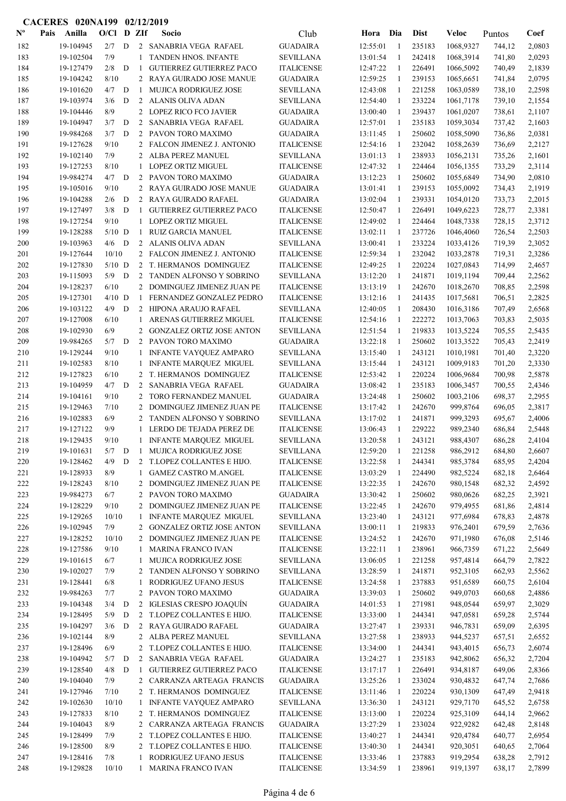|                           |      | CACERES 020NA199       |            |             |                | 02/12/2019                                               |                                       |                      |              |                  |                      |                  |                  |
|---------------------------|------|------------------------|------------|-------------|----------------|----------------------------------------------------------|---------------------------------------|----------------------|--------------|------------------|----------------------|------------------|------------------|
| $\mathbf{N}^{\mathbf{o}}$ | Pais | Anilla                 | O/Cl       |             | D ZIf          | Socio                                                    | Club                                  | Hora                 | Dia          | <b>Dist</b>      | Veloc                | Puntos           | Coef             |
| 182                       |      | 19-104945              | 2/7        | D           |                | 2 SANABRIA VEGA RAFAEL                                   | <b>GUADAIRA</b>                       | 12:55:01             | -1           | 235183           | 1068,9327            | 744,12           | 2,0803           |
| 183                       |      | 19-102504              | 7/9        |             |                | TANDEN HNOS. INFANTE                                     | <b>SEVILLANA</b>                      | 13:01:54             | 1            | 242418           | 1068,3914            | 741,80           | 2,0293           |
| 184                       |      | 19-127479              | 2/8        | D           | -1             | <b>GUTIERREZ GUTIERREZ PACO</b>                          | <b>ITALICENSE</b>                     | 12:47:22             | -1           | 226491           | 1066,5092            | 740,49           | 2,1839           |
| 185                       |      | 19-104242              | 8/10       |             |                | 2 RAYA GUIRADO JOSE MANUE                                | <b>GUADAIRA</b>                       | 12:59:25             | -1           | 239153           | 1065,6651            | 741,84           | 2,0795           |
| 186                       |      | 19-101620              | 4/7        | D           | $\mathbf{1}$   | <b>MUJICA RODRIGUEZ JOSE</b>                             | <b>SEVILLANA</b>                      | 12:43:08             | -1           | 221258           | 1063,0589            | 738,10           | 2,2598           |
| 187                       |      | 19-103974              | 3/6        | D           | 2              | ALANIS OLIVA ADAN                                        | <b>SEVILLANA</b>                      | 12:54:40             | -1           | 233224           | 1061,7178            | 739,10           | 2,1554           |
| 188                       |      | 19-104446              | 8/9        |             |                | 2 LOPEZ RICO FCO JAVIER                                  | <b>GUADAIRA</b>                       | 13:00:40             | -1           | 239437           | 1061,0207            | 738,61           | 2,1107           |
| 189                       |      | 19-104947              | 3/7        | D           | 2              | SANABRIA VEGA RAFAEL                                     | <b>GUADAIRA</b>                       | 12:57:01             | 1            | 235183           | 1059,3034            | 737,42           | 2,1603           |
| 190                       |      | 19-984268              | 3/7        | D           |                | 2 PAVON TORO MAXIMO                                      | <b>GUADAIRA</b>                       | 13:11:45             | 1            | 250602           | 1058,5090            | 736,86           | 2,0381           |
| 191                       |      | 19-127628              | 9/10       |             |                | 2 FALCON JIMENEZ J. ANTONIO                              | <b>ITALICENSE</b>                     | 12:54:16             | -1           | 232042           | 1058,2639            | 736,69           | 2,2127           |
| 192                       |      | 19-102140              | 7/9        |             |                | 2 ALBA PEREZ MANUEL                                      | <b>SEVILLANA</b>                      | 13:01:13             | -1           | 238933           | 1056,2131            | 735,26           | 2,1601           |
| 193                       |      | 19-127253              | 8/10       |             | $\mathbf{1}$   | <b>LOPEZ ORTIZ MIGUEL</b>                                | <b>ITALICENSE</b>                     | 12:47:32             | 1            | 224464           | 1056,1355            | 733,29           | 2,3114           |
| 194                       |      | 19-984274              | $4/7$ D    |             |                | 2 PAVON TORO MAXIMO                                      | <b>GUADAIRA</b>                       | 13:12:23             | 1            | 250602           | 1055,6849            | 734,90           | 2,0810           |
| 195                       |      | 19-105016              | 9/10       |             |                | 2 RAYA GUIRADO JOSE MANUE                                | <b>GUADAIRA</b>                       | 13:01:41             | 1            | 239153           | 1055,0092            | 734,43           | 2,1919           |
| 196                       |      | 19-104288              | 2/6        | D           |                | 2 RAYA GUIRADO RAFAEL                                    | <b>GUADAIRA</b>                       | 13:02:04             | 1            | 239331           | 1054,0120            | 733,73           | 2,2015           |
| 197                       |      | 19-127497              | 3/8        | D           | 1              | <b>GUTIERREZ GUTIERREZ PACO</b>                          | <b>ITALICENSE</b>                     | 12:50:47             | -1           | 226491           | 1049,6223            | 728,77           | 2,3381           |
| 198                       |      | 19-127254              | 9/10       |             | $\mathbf{1}$   | <b>LOPEZ ORTIZ MIGUEL</b>                                | <b>ITALICENSE</b>                     | 12:49:02             | -1           | 224464           | 1048,7338            | 728,15           | 2,3712           |
| 199                       |      | 19-128288              | $5/10$ D   |             | $\mathbf{1}$   | RUIZ GARCIA MANUEL                                       | <b>ITALICENSE</b>                     | 13:02:11             | -1           | 237726           | 1046,4060            | 726,54           | 2,2503           |
| 200                       |      | 19-103963              | $4/6$ D    |             | $\overline{2}$ | ALANIS OLIVA ADAN                                        | <b>SEVILLANA</b>                      | 13:00:41             | -1           | 233224           | 1033,4126            | 719,39           | 2,3052           |
| 201                       |      | 19-127644              | 10/10      |             |                | 2 FALCON JIMENEZ J. ANTONIO                              | <b>ITALICENSE</b>                     | 12:59:34             | 1            | 232042           | 1033,2878            | 719,31           | 2,3286           |
| 202                       |      | 19-127830              | $5/10$ D   |             |                | 2 T. HERMANOS DOMINGUEZ                                  | <b>ITALICENSE</b>                     | 12:49:25             | 1            | 220224           | 1027,0843            | 714,99           | 2,4657           |
| 203                       |      | 19-115093              | $5/9$ D    |             |                | 2 TANDEN ALFONSO Y SOBRINO                               | <b>SEVILLANA</b>                      | 13:12:20             | -1           | 241871           | 1019,1194            | 709,44           | 2,2562           |
| 204                       |      | 19-128237              | 6/10       |             |                | 2 DOMINGUEZ JIMENEZ JUAN PE                              | <b>ITALICENSE</b>                     | 13:13:19             | -1           | 242670           | 1018,2670            | 708,85           | 2,2598           |
| 205                       |      | 19-127301              | $4/10$ D   |             | 1              | FERNANDEZ GONZALEZ PEDRO                                 | <b>ITALICENSE</b>                     | 13:12:16             | -1           | 241435           | 1017,5681            | 706,51           | 2,2825           |
| 206                       |      | 19-103122              | 4/9        | D           |                | 2 HIPONA ARAUJO RAFAEL                                   | <b>SEVILLANA</b>                      | 12:40:05             | -1           | 208430           | 1016,3186            | 707,49           | 2,6568           |
| 207                       |      | 19-127008              | 6/10       |             |                | 1 ARENAS GUTIERREZ MIGUEL                                | <b>ITALICENSE</b>                     | 12:54:16             | -1           | 222272           | 1013,7063            | 703,83           | 2,5035           |
| 208                       |      | 19-102930              | 6/9        |             |                | 2 GONZALEZ ORTIZ JOSE ANTON                              | <b>SEVILLANA</b>                      | 12:51:54             | -1           | 219833           | 1013,5224            | 705,55           | 2,5435           |
| 209                       |      | 19-984265              | 5/7        | D           |                | 2 PAVON TORO MAXIMO                                      | <b>GUADAIRA</b>                       | 13:22:18             | -1           | 250602           | 1013,3522            | 705,43           | 2,2419           |
| 210                       |      | 19-129244              | 9/10       |             | 1              | <b>INFANTE VAYQUEZ AMPARO</b>                            | <b>SEVILLANA</b>                      | 13:15:40             | -1           | 243121           | 1010,1981            | 701,40           | 2,3220           |
| 211                       |      | 19-102583              | 8/10       |             | 1              | <b>INFANTE MARQUEZ MIGUEL</b>                            | <b>SEVILLANA</b>                      | 13:15:44             | -1           | 243121           | 1009,9183            | 701,20           | 2,3330           |
| 212                       |      | 19-127823              | 6/10       |             | 2              | T. HERMANOS DOMINGUEZ                                    | <b>ITALICENSE</b>                     | 12:53:42             | -1           | 220224           | 1006,9684            | 700,98           | 2,5878           |
| 213                       |      | 19-104959              | $4/7$ D    |             | 2              | SANABRIA VEGA RAFAEL                                     | <b>GUADAIRA</b>                       | 13:08:42             | -1           | 235183           | 1006,3457            | 700,55           | 2,4346           |
| 214                       |      | 19-104161              | 9/10       |             | 2              | TORO FERNANDEZ MANUEL                                    | <b>GUADAIRA</b>                       | 13:24:48             | -1           | 250602           | 1003,2106            | 698,37           | 2,2955           |
| 215                       |      | 19-129463              | 7/10       |             | $\overline{2}$ | DOMINGUEZ JIMENEZ JUAN PE                                | <b>ITALICENSE</b>                     | 13:17:42             | -1           | 242670           | 999,8764             | 696,05           | 2,3817           |
| 216                       |      | 19-102883              | 6/9        |             | $\overline{2}$ | TANDEN ALFONSO Y SOBRINO                                 | <b>SEVILLANA</b>                      | 13:17:02             | -1           | 241871           | 999,3293             | 695,67           | 2,4006           |
| 217                       |      | 19-127122              | 9/9        |             |                | LERDO DE TEJADA PEREZ DE                                 | <b>ITALICENSE</b>                     | 13:06:43             | 1            | 229222           | 989,2340             | 686,84           | 2,5448           |
| 218                       |      | 19-129435              | 9/10       |             |                | INFANTE MARQUEZ MIGUEL                                   | <b>SEVILLANA</b>                      | 13:20:58             | -1           | 243121           | 988,4307             | 686,28           | 2,4104           |
| 219                       |      | 19-101631              | 5/7<br>4/9 | D           |                | 1 MUJICA RODRIGUEZ JOSE                                  | <b>SEVILLANA</b><br><b>ITALICENSE</b> | 12:59:20             | -1           | 221258           | 986,2912             | 684,80           | 2,6607           |
| 220<br>221                |      | 19-128462<br>19-128933 | 8/9        | D           | $\overline{2}$ | T.LOPEZ COLLANTES E HIJO.<br><b>GAMEZ CASTRO M.ANGEL</b> |                                       | 13:22:58<br>13:03:29 | 1            | 244341<br>224490 | 985,3784             | 685,95           | 2,4204           |
|                           |      | 19-128243              | 8/10       |             | $\mathbf{1}$   | DOMINGUEZ JIMENEZ JUAN PE                                | <b>ITALICENSE</b>                     | 13:22:35             | -1           | 242670           | 982,5224<br>980,1548 | 682,18           | 2,6464           |
| 222                       |      | 19-984273              | 6/7        |             | 2              | PAVON TORO MAXIMO                                        | <b>ITALICENSE</b><br><b>GUADAIRA</b>  | 13:30:42             | -1<br>-1     | 250602           | 980,0626             | 682,32           | 2,4592           |
| 223<br>224                |      | 19-128229              | 9/10       |             | 2<br>2         | DOMINGUEZ JIMENEZ JUAN PE                                | <b>ITALICENSE</b>                     | 13:22:45             | -1           | 242670           |                      | 682,25           | 2,3921           |
| 225                       |      | 19-129265              | 10/10      |             | 1              | <b>INFANTE MARQUEZ MIGUEL</b>                            | <b>SEVILLANA</b>                      | 13:23:40             | -1           | 243121           | 979,4955<br>977,6984 | 681,86<br>678,83 | 2,4814<br>2,4878 |
| 226                       |      | 19-102945              | 7/9        |             | $\overline{2}$ | GONZALEZ ORTIZ JOSE ANTON                                | <b>SEVILLANA</b>                      | 13:00:11             | 1            | 219833           | 976,2401             | 679,59           | 2,7636           |
| 227                       |      | 19-128252              | 10/10      |             |                | 2 DOMINGUEZ JIMENEZ JUAN PE                              | <b>ITALICENSE</b>                     | 13:24:52             | -1           | 242670           | 971,1980             | 676,08           | 2,5146           |
| 228                       |      | 19-127586              | 9/10       |             | $\mathbf{1}$   | <b>MARINA FRANCO IVAN</b>                                | <b>ITALICENSE</b>                     | 13:22:11             | -1           | 238961           | 966,7359             | 671,22           | 2,5649           |
| 229                       |      | 19-101615              | 6/7        |             | $\mathbf{1}$   | MUJICA RODRIGUEZ JOSE                                    | <b>SEVILLANA</b>                      | 13:06:05             | -1           | 221258           | 957,4814             | 664,79           | 2,7822           |
| 230                       |      | 19-102027              | 7/9        |             | 2              | TANDEN ALFONSO Y SOBRINO                                 | <b>SEVILLANA</b>                      | 13:28:59             | 1            | 241871           | 952,3105             | 662,93           | 2,5562           |
| 231                       |      | 19-128441              | 6/8        |             | 1              | RODRIGUEZ UFANO JESUS                                    | <b>ITALICENSE</b>                     | 13:24:58             | $\mathbf{1}$ | 237883           | 951,6589             | 660,75           | 2,6104           |
| 232                       |      | 19-984263              | 7/7        |             | $\overline{2}$ | PAVON TORO MAXIMO                                        | <b>GUADAIRA</b>                       | 13:39:03             | 1            | 250602           | 949,0703             | 660,68           | 2,4886           |
| 233                       |      | 19-104348              | 3/4        | D           | $\overline{2}$ | IGLESIAS CRESPO JOAQUÍN                                  | <b>GUADAIRA</b>                       | 14:01:53             | -1           | 271981           | 948,0544             | 659,97           | 2,3029           |
| 234                       |      | 19-128495              | 5/9        | D           |                | 2 T.LOPEZ COLLANTES E HIJO.                              | <b>ITALICENSE</b>                     | 13:33:00             | -1           | 244341           | 947,0581             | 659,28           | 2,5744           |
| 235                       |      | 19-104297              | 3/6        | ${\bf D}$   |                | 2 RAYA GUIRADO RAFAEL                                    | $\operatorname{GUADAIRA}$             | 13:27:47             | -1           | 239331           | 946,7831             | 659,09           | 2,6395           |
| 236                       |      | 19-102144              | 8/9        |             |                | 2 ALBA PEREZ MANUEL                                      | <b>SEVILLANA</b>                      | 13:27:58             | -1           | 238933           | 944,5237             | 657,51           | 2,6552           |
| 237                       |      | 19-128496              | 6/9        |             |                | 2 T.LOPEZ COLLANTES E HIJO.                              | <b>ITALICENSE</b>                     | 13:34:00             | -1           | 244341           | 943,4015             | 656,73           | 2,6074           |
| 238                       |      | 19-104942              | 5/7        | $\mathbf D$ | $\overline{2}$ | SANABRIA VEGA RAFAEL                                     | <b>GUADAIRA</b>                       | 13:24:27             | -1           | 235183           | 942,8062             | 656,32           | 2,7204           |
| 239                       |      | 19-128540              | 4/8        | D           | 1              | <b>GUTIERREZ GUTIERREZ PACO</b>                          | <b>ITALICENSE</b>                     | 13:17:17             | -1           | 226491           | 934,8187             | 649,06           | 2,8366           |
| 240                       |      | 19-104040              | 7/9        |             |                | 2 CARRANZA ARTEAGA FRANCIS                               | <b>GUADAIRA</b>                       | 13:25:26             | -1           | 233024           | 930,4832             | 647,74           | 2,7686           |
| 241                       |      | 19-127946              | 7/10       |             |                | 2 T. HERMANOS DOMINGUEZ                                  | <b>ITALICENSE</b>                     | 13:11:46             | -1           | 220224           | 930,1309             | 647,49           | 2,9418           |
| 242                       |      | 19-102630              | 10/10      |             |                | INFANTE VAYQUEZ AMPARO                                   | <b>SEVILLANA</b>                      | 13:36:30             | -1           | 243121           | 929,7170             | 645,52           | 2,6758           |
| 243                       |      | 19-127833              | 8/10       |             |                | 2 T. HERMANOS DOMINGUEZ                                  | <b>ITALICENSE</b>                     | 13:13:00             | 1            | 220224           | 925,3109             | 644,14           | 2,9662           |
| 244                       |      | 19-104043              | 8/9        |             | 2              | CARRANZA ARTEAGA FRANCIS                                 | <b>GUADAIRA</b>                       | 13:27:29             | 1            | 233024           | 922,9282             | 642,48           | 2,8148           |
| 245                       |      | 19-128499              | 7/9        |             | $\overline{2}$ | T.LOPEZ COLLANTES E HIJO.                                | <b>ITALICENSE</b>                     | 13:40:27             | -1           | 244341           | 920,4784             | 640,77           | 2,6954           |
| 246                       |      | 19-128500              | 8/9        |             | 2              | T.LOPEZ COLLANTES E HIJO.                                | <b>ITALICENSE</b>                     | 13:40:30             | -1           | 244341           | 920,3051             | 640,65           | 2,7064           |
| 247                       |      | 19-128416              | 7/8        |             | 1              | RODRIGUEZ UFANO JESUS                                    | <b>ITALICENSE</b>                     | 13:33:46             | -1           | 237883           | 919,2954             | 638,28           | 2,7912           |
| 248                       |      | 19-129828              | 10/10      |             | $\mathbf{1}$   | <b>MARINA FRANCO IVAN</b>                                | <b>ITALICENSE</b>                     | 13:34:59             | -1           | 238961           | 919,1397             | 638,17           | 2,7899           |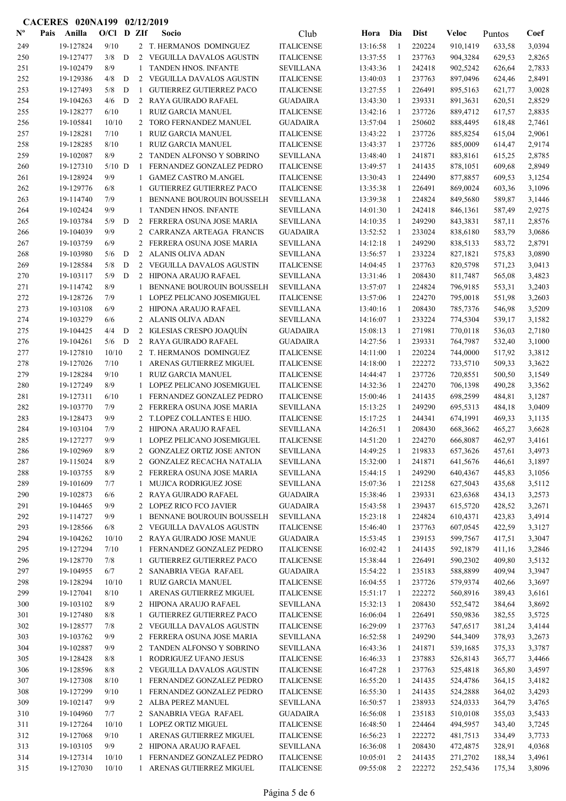|                           | <b>CACERES 020NA199</b> |                        |              |   |                | 02/12/2019                                                    |                                        |                      |                    |                  |                      |                  |                  |
|---------------------------|-------------------------|------------------------|--------------|---|----------------|---------------------------------------------------------------|----------------------------------------|----------------------|--------------------|------------------|----------------------|------------------|------------------|
| $\mathbf{N}^{\mathbf{o}}$ | Pais                    | Anilla                 | O/Cl D ZIf   |   |                | <b>Socio</b>                                                  | Club                                   | Hora                 | Dia                | <b>Dist</b>      | <b>Veloc</b>         | Puntos           | Coef             |
| 249                       |                         | 19-127824              | 9/10         |   |                | 2 T. HERMANOS DOMINGUEZ                                       | <b>ITALICENSE</b>                      | 13:16:58             | -1                 | 220224           | 910,1419             | 633,58           | 3,0394           |
| 250                       |                         | 19-127477              | 3/8          | D |                | 2 VEGUILLA DAVALOS AGUSTIN                                    | <b>ITALICENSE</b>                      | 13:37:55             | -1                 | 237763           | 904,3284             | 629,53           | 2,8265           |
| 251                       |                         | 19-102479              | 8/9          |   | $\mathbf{1}$   | TANDEN HNOS. INFANTE                                          | <b>SEVILLANA</b>                       | 13:43:36             | -1                 | 242418           | 902,5242             | 626,64           | 2,7833           |
| 252                       |                         | 19-129386              | 4/8          | D | 2              | VEGUILLA DAVALOS AGUSTIN                                      | <b>ITALICENSE</b>                      | 13:40:03             | -1                 | 237763           | 897,0496             | 624,46           | 2,8491           |
| 253                       |                         | 19-127493              | 5/8          | D | -1             | <b>GUTIERREZ GUTIERREZ PACO</b>                               | <b>ITALICENSE</b>                      | 13:27:55             | -1                 | 226491           | 895,5163             | 621,77           | 3,0028           |
| 254                       |                         | 19-104263              | 4/6          | D |                | 2 RAYA GUIRADO RAFAEL                                         | <b>GUADAIRA</b>                        | 13:43:30             | $\mathbf{1}$       | 239331           | 891,3631             | 620,51           | 2,8529           |
| 255                       |                         | 19-128277              | 6/10         |   | $\mathbf{1}$   | <b>RUIZ GARCIA MANUEL</b>                                     | <b>ITALICENSE</b>                      | 13:42:16             | 1                  | 237726           | 889,4712             | 617,57           | 2,8835           |
| 256                       |                         | 19-105841              | 10/10        |   | 2              | TORO FERNANDEZ MANUEL                                         | <b>GUADAIRA</b>                        | 13:57:04             | $\mathbf{1}$       | 250602           | 888,4495             | 618,48           | 2,7461           |
| 257                       |                         | 19-128281              | 7/10         |   | 1              | <b>RUIZ GARCIA MANUEL</b>                                     | <b>ITALICENSE</b>                      | 13:43:22             | 1                  | 237726           | 885,8254             | 615,04           | 2,9061           |
| 258                       |                         | 19-128285              | 8/10         |   | 1              | RUIZ GARCIA MANUEL                                            | <b>ITALICENSE</b>                      | 13:43:37             | -1                 | 237726           | 885,0009             | 614,47           | 2,9174           |
| 259                       |                         | 19-102087              | 8/9          |   |                | 2 TANDEN ALFONSO Y SOBRINO                                    | <b>SEVILLANA</b>                       | 13:48:40             | -1                 | 241871           | 883,8161             | 615,25           | 2,8785           |
| 260                       |                         | 19-127310              | $5/10$ D     |   | 1              | FERNANDEZ GONZALEZ PEDRO                                      | <b>ITALICENSE</b>                      | 13:49:57             | -1                 | 241435           | 878,1051             | 609,68           | 2,8949           |
| 261                       |                         | 19-128924              | 9/9          |   | 1              | <b>GAMEZ CASTRO M.ANGEL</b>                                   | <b>ITALICENSE</b>                      | 13:30:43             | 1                  | 224490           | 877,8857             | 609,53           | 3,1254           |
| 262                       |                         | 19-129776              | 6/8          |   | 1              | <b>GUTIERREZ GUTIERREZ PACO</b>                               | <b>ITALICENSE</b>                      | 13:35:38             | 1                  | 226491           | 869,0024             | 603,36           | 3,1096           |
| 263                       |                         | 19-114740              | 7/9          |   | 1              | <b>BENNANE BOUROUIN BOUSSELH</b>                              | <b>SEVILLANA</b>                       | 13:39:38             | -1                 | 224824           | 849,5680             | 589,87           | 3,1446           |
| 264                       |                         | 19-102424              | 9/9          |   | 1              | <b>TANDEN HNOS. INFANTE</b>                                   | <b>SEVILLANA</b>                       | 14:01:30             | -1                 | 242418           | 846,1361             | 587,49           | 2,9275           |
| 265                       |                         | 19-103784              | 5/9          | D |                | 2 FERRERA OSUNA JOSE MARIA                                    | <b>SEVILLANA</b>                       | 14:10:35             | -1                 | 249290           | 843,3831             | 587,11           | 2,8576           |
| 266                       |                         | 19-104039              | 9/9          |   | 2              | CARRANZA ARTEAGA FRANCIS                                      | <b>GUADAIRA</b>                        | 13:52:52             | 1                  | 233024           | 838,6180             | 583,79           | 3,0686           |
| 267                       |                         | 19-103759              | 6/9          |   | 2              | FERRERA OSUNA JOSE MARIA                                      | <b>SEVILLANA</b>                       | 14:12:18             | 1                  | 249290           | 838,5133             | 583,72           | 2,8791           |
| 268                       |                         | 19-103980              | 5/6          | D | $\overline{2}$ | ALANIS OLIVA ADAN                                             | <b>SEVILLANA</b>                       | 13:56:57             | 1                  | 233224           | 827,1821             | 575,83           | 3,0890           |
| 269                       |                         | 19-128584              | 5/8          | D |                | 2 VEGUILLA DAVALOS AGUSTIN                                    | <b>ITALICENSE</b>                      | 14:04:45             | 1                  | 237763           | 820,5798             | 571,23           | 3,0413           |
| 270                       |                         | 19-103117              | 5/9          | D |                | 2 HIPONA ARAUJO RAFAEL                                        | <b>SEVILLANA</b>                       | 13:31:46             | -1                 | 208430           | 811,7487             | 565,08           | 3,4823           |
| 271                       |                         | 19-114742              | 8/9          |   | 1              | BENNANE BOUROUIN BOUSSELH                                     | <b>SEVILLANA</b>                       | 13:57:07             | -1                 | 224824           | 796,9185             | 553,31           | 3,2403           |
| 272                       |                         | 19-128726              | 7/9          |   |                | LOPEZ PELICANO JOSEMIGUEL                                     | <b>ITALICENSE</b>                      | 13:57:06             | 1                  | 224270           | 795,0018             | 551,98           | 3,2603           |
| 273                       |                         | 19-103108              | 6/9          |   | 2              | HIPONA ARAUJO RAFAEL                                          | <b>SEVILLANA</b>                       | 13:40:16             | -1                 | 208430           | 785,7376             | 546,98           | 3,5209           |
| 274                       |                         | 19-103279              | 6/6          |   | 2              | ALANIS OLIVA ADAN                                             | <b>SEVILLANA</b>                       | 14:16:07             | 1                  | 233224           | 774,5304             | 539,17           | 3,1582           |
| 275                       |                         | 19-104425              | 4/4          | D | $\overline{2}$ | <b>IGLESIAS CRESPO JOAQUÍN</b>                                | <b>GUADAIRA</b>                        | 15:08:13             | 1                  | 271981           | 770,0118             | 536,03           | 2,7180           |
| 276                       |                         | 19-104261              | 5/6          | D |                | 2 RAYA GUIRADO RAFAEL                                         | <b>GUADAIRA</b>                        | 14:27:56             | -1                 | 239331           | 764,7987             | 532,40           | 3,1000           |
| 277                       |                         | 19-127810              | 10/10        |   |                | 2 T. HERMANOS DOMINGUEZ                                       | <b>ITALICENSE</b>                      | 14:11:00             | -1                 | 220224           | 744,0000             | 517,92           | 3,3812           |
| 278                       |                         | 19-127026              | 7/10         |   | 1              | ARENAS GUTIERREZ MIGUEL                                       | <b>ITALICENSE</b>                      | 14:18:00             | $\mathbf{1}$       | 222272           | 733,5710             | 509,33           | 3,3622           |
| 279                       |                         | 19-128284              | 9/10         |   | 1              | <b>RUIZ GARCIA MANUEL</b>                                     | <b>ITALICENSE</b>                      | 14:44:47             | -1                 | 237726           | 720,8551             | 500,50           | 3,1549           |
| 280                       |                         | 19-127249              | 8/9          |   | 1              | LOPEZ PELICANO JOSEMIGUEL                                     | <b>ITALICENSE</b>                      | 14:32:36             | -1                 | 224270           | 706,1398             | 490,28           | 3,3562           |
| 281                       |                         | 19-127311              | 6/10         |   | 1              | FERNANDEZ GONZALEZ PEDRO                                      | <b>ITALICENSE</b>                      | 15:00:46             | 1                  | 241435           | 698,2599             | 484,81           | 3,1287           |
| 282                       |                         | 19-103770              | 7/9          |   |                | 2 FERRERA OSUNA JOSE MARIA                                    | <b>SEVILLANA</b>                       | 15:13:25             | -1                 | 249290           | 695,5313             | 484,18           | 3,0409           |
| 283                       |                         | 19-128473              | 9/9          |   |                | 2 T.LOPEZ COLLANTES E HIJO.                                   | <b>ITALICENSE</b>                      | 15:17:25             | -1                 | 244341           | 674,1991             | 469,33           | 3,1135           |
| 284                       |                         | 19-103104              | 7/9          |   |                | 2 HIPONA ARAUJO RAFAEL                                        | <b>SEVILLANA</b>                       | 14:26:51             | -1                 | 208430           | 668,3662             | 465,27           | 3,6628           |
| 285                       |                         | 19-127277              | 9/9          |   | 1              | LOPEZ PELICANO JOSEMIGUEL                                     | <b>ITALICENSE</b>                      | 14:51:20             | 1                  | 224270           | 666,8087             | 462,97           | 3,4161           |
| 286                       |                         | 19-102969              | 8/9          |   |                | 2 GONZALEZ ORTIZ JOSE ANTON                                   | <b>SEVILLANA</b>                       | 14:49:25             | -1                 | 219833           | 657,3626             | 457,61           | 3,4973           |
| 287                       |                         | 19-115024              | 8/9          |   |                | 2 GONZALEZ RECACHA NATALIA                                    | <b>SEVILLANA</b>                       | 15:32:00             | 1                  | 241871           | 641,5676             | 446,61           | 3,1897           |
| 288                       |                         | 19-103755              | 8/9          |   |                | 2 FERRERA OSUNA JOSE MARIA                                    | <b>SEVILLANA</b>                       | 15:44:15             | -1                 | 249290           | 640,4367             | 445,83           | 3,1056           |
| 289                       |                         | 19-101609              | 7/7          |   | $\mathbf{1}$   | MUJICA RODRIGUEZ JOSE                                         | <b>SEVILLANA</b>                       | 15:07:36             | -1                 | 221258           | 627,5043             | 435,68           | 3,5112           |
| 290                       |                         | 19-102873              | 6/6          |   |                | 2 RAYA GUIRADO RAFAEL                                         | <b>GUADAIRA</b>                        | 15:38:46             | -1                 | 239331           | 623,6368             | 434,13           | 3,2573           |
| 291                       |                         | 19-104465              | 9/9          |   |                | 2 LOPEZ RICO FCO JAVIER                                       | <b>GUADAIRA</b>                        | 15:43:58             | -1                 | 239437           | 615,5720             | 428,52           | 3,2671           |
| 292                       |                         | 19-114727              | 9/9          |   | 1              | BENNANE BOUROUIN BOUSSELH<br>VEGUILLA DAVALOS AGUSTIN         | <b>SEVILLANA</b>                       | 15:23:18             | 1                  | 224824           | 610,4371             | 423,83           | 3,4914           |
| 293<br>294                |                         | 19-128566<br>19-104262 | 6/8<br>10/10 |   | $\mathbf{2}$   |                                                               | <b>ITALICENSE</b>                      | 15:46:40             | 1                  | 237763<br>239153 | 607,0545             | 422,59           | 3,3127           |
|                           |                         | 19-127294              | 7/10         |   |                | 2 RAYA GUIRADO JOSE MANUE                                     | <b>GUADAIRA</b>                        | 15:53:45             | -1                 |                  | 599,7567             | 417,51           | 3,3047           |
| 295                       |                         |                        |              |   |                | 1 FERNANDEZ GONZALEZ PEDRO<br><b>GUTIERREZ GUTIERREZ PACO</b> | <b>ITALICENSE</b>                      | 16:02:42             | -1                 | 241435           | 592,1879             | 411,16           | 3,2846           |
| 296                       |                         | 19-128770<br>19-104955 | 7/8<br>6/7   |   | 1              | 2 SANABRIA VEGA RAFAEL                                        | <b>ITALICENSE</b>                      | 15:38:44<br>15:54:22 | $\mathbf{1}$<br>-1 | 226491<br>235183 | 590,2302             | 409,80<br>409,94 | 3,5132<br>3,3947 |
| 297<br>298                |                         | 19-128294              | 10/10        |   | 1              | <b>RUIZ GARCIA MANUEL</b>                                     | <b>GUADAIRA</b><br><b>ITALICENSE</b>   | 16:04:55             | -1                 | 237726           | 588,8899<br>579,9374 | 402,66           | 3,3697           |
| 299                       |                         | 19-127041              | 8/10         |   |                | ARENAS GUTIERREZ MIGUEL                                       |                                        |                      | -1                 | 222272           |                      |                  |                  |
| 300                       |                         | 19-103102              | 8/9          |   | $\mathbf{1}$   | 2 HIPONA ARAUJO RAFAEL                                        | <b>ITALICENSE</b><br><b>SEVILLANA</b>  | 15:51:17<br>15:32:13 | 1                  | 208430           | 560,8916<br>552,5472 | 389,43<br>384,64 | 3,6161<br>3,8692 |
|                           |                         |                        | 8/8          |   |                | <b>GUTIERREZ GUTIERREZ PACO</b>                               |                                        | 16:06:04             | -1                 |                  |                      |                  |                  |
| 301<br>302                |                         | 19-127480              | 7/8          |   | $\mathbf{1}$   |                                                               | <b>ITALICENSE</b>                      | 16:29:09             |                    | 226491<br>237763 | 550,9836             | 382,55           | 3,5725           |
| 303                       |                         | 19-128577<br>19-103762 | 9/9          |   | $2^{\circ}$    | VEGUILLA DAVALOS AGUSTIN<br>2 FERRERA OSUNA JOSE MARIA        | <b>ITALICENSE</b>                      | 16:52:58             | -1<br>-1           | 249290           | 547,6517             | 381,24           | 3,4144           |
| 304                       |                         | 19-102887              | 9/9          |   |                | 2 TANDEN ALFONSO Y SOBRINO                                    | <b>SEVILLANA</b><br><b>SEVILLANA</b>   | 16:43:36             | 1                  | 241871           | 544,3409<br>539,1685 | 378,93<br>375,33 | 3,2673<br>3,3787 |
| 305                       |                         | 19-128428              | 8/8          |   |                | RODRIGUEZ UFANO JESUS                                         |                                        |                      |                    | 237883           |                      |                  |                  |
| 306                       |                         | 19-128596              | 8/8          |   | 1              | 2 VEGUILLA DAVALOS AGUSTIN                                    | <b>ITALICENSE</b><br><b>ITALICENSE</b> | 16:46:33<br>16:47:28 | -1<br>-1           | 237763           | 526,8143<br>525,4818 | 365,77<br>365,80 | 3,4466<br>3,4597 |
| 307                       |                         | 19-127308              | 8/10         |   | $\mathbf{1}$   | FERNANDEZ GONZALEZ PEDRO                                      | <b>ITALICENSE</b>                      | 16:55:20             | -1                 | 241435           | 524,4786             | 364,15           | 3,4182           |
| 308                       |                         | 19-127299              | 9/10         |   | $\mathbf{1}$   | FERNANDEZ GONZALEZ PEDRO                                      | <b>ITALICENSE</b>                      | 16:55:30             | -1                 | 241435           | 524,2888             | 364,02           | 3,4293           |
| 309                       |                         | 19-102147              | 9/9          |   |                | 2 ALBA PEREZ MANUEL                                           | <b>SEVILLANA</b>                       | 16:50:57             | -1                 | 238933           | 524,0333             | 364,79           | 3,4765           |
| 310                       |                         | 19-104960              | 7/7          |   | $\mathbf{2}$   | SANABRIA VEGA RAFAEL                                          | <b>GUADAIRA</b>                        | 16:56:08             | 1                  | 235183           | 510,0108             | 355,03           | 3,5433           |
| 311                       |                         | 19-127264              | 10/10        |   | $\mathbf{1}$   | LOPEZ ORTIZ MIGUEL                                            | <b>ITALICENSE</b>                      | 16:48:50             | $\overline{1}$     | 224464           | 494,5957             | 343,40           | 3,7245           |
| 312                       |                         | 19-127068              | 9/10         |   |                | ARENAS GUTIERREZ MIGUEL                                       |                                        | 16:56:23             | 1                  | 222272           |                      |                  |                  |
| 313                       |                         | 19-103105              | 9/9          |   | $\mathbf{1}$   | 2 HIPONA ARAUJO RAFAEL                                        | <b>ITALICENSE</b><br><b>SEVILLANA</b>  | 16:36:08             | -1                 | 208430           | 481,7513<br>472,4875 | 334,49<br>328,91 | 3,7733<br>4,0368 |
| 314                       |                         | 19-127314              | 10/10        |   | $\mathbf{1}$   | FERNANDEZ GONZALEZ PEDRO                                      |                                        | 10:05:01             | 2                  | 241435           |                      |                  |                  |
| 315                       |                         | 19-127030              | 10/10        |   |                |                                                               | <b>ITALICENSE</b>                      |                      | $\overline{2}$     |                  | 271,2702             | 188,34           | 3,4961           |
|                           |                         |                        |              |   |                | 1 ARENAS GUTIERREZ MIGUEL                                     | <b>ITALICENSE</b>                      | 09:55:08             |                    | 222272           | 252,5436             | 175,34           | 3,8096           |